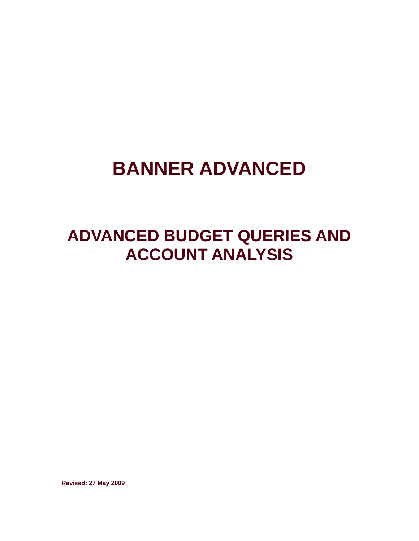# **BANNER ADVANCED**

## **ADVANCED BUDGET QUERIES AND ACCOUNT ANALYSIS**

**Revised: 27 May 2009**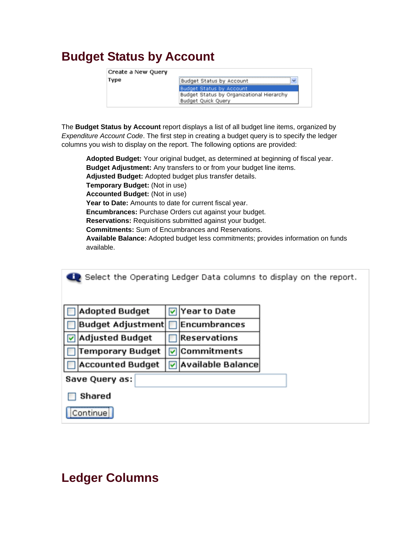## **Budget Status by Account**

| Create a New Query |                                           |
|--------------------|-------------------------------------------|
| Type               | Budget Status by Account                  |
|                    | <b>Budget Status by Account</b>           |
|                    | Budget Status by Organizational Hierarchy |
|                    | Budget Quick Query                        |

The **Budget Status by Account** report displays a list of all budget line items, organized by *Expenditure Account Code*. The first step in creating a budget query is to specify the ledger columns you wish to display on the report. The following options are provided:

**Adopted Budget:** Your original budget, as determined at beginning of fiscal year. **Budget Adjustment:** Any transfers to or from your budget line items. **Adjusted Budget:** Adopted budget plus transfer details. **Temporary Budget:** (Not in use) **Accounted Budget:** (Not in use) **Year to Date:** Amounts to date for current fiscal year. **Encumbrances:** Purchase Orders cut against your budget. **Reservations:** Requisitions submitted against your budget. **Commitments:** Sum of Encumbrances and Reservations. **Available Balance:** Adopted budget less commitments; provides information on funds available.

|   | Select the Operating Ledger Data columns to display on the report. |   |                     |  |  |
|---|--------------------------------------------------------------------|---|---------------------|--|--|
|   | <b>Adopted Budget</b>                                              | M | Year to Date        |  |  |
|   | Budget Adjustment                                                  |   | <b>Encumbrances</b> |  |  |
| ⊽ | Adjusted Budget                                                    |   | Reservations        |  |  |
|   | Temporary Budget                                                   | M | Commitments         |  |  |
|   | <b>Accounted Budget</b>                                            | ▽ | Available Balance   |  |  |
|   | Save Query as:                                                     |   |                     |  |  |
|   | Shared                                                             |   |                     |  |  |
|   | Continue                                                           |   |                     |  |  |

## **Ledger Columns**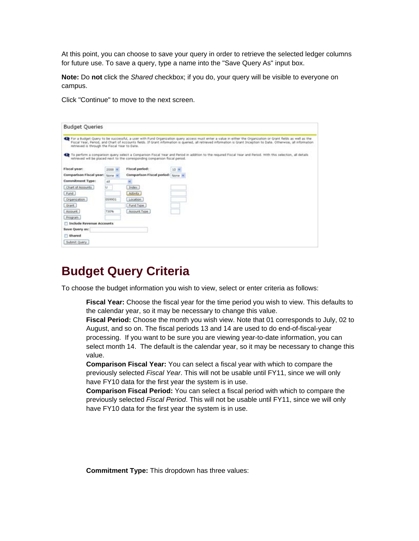At this point, you can choose to save your query in order to retrieve the selected ledger columns for future use. To save a query, type a name into the "Save Query As" input box.

**Note:** Do **not** click the *Shared* checkbox; if you do, your query will be visible to everyone on campus.

Click "Continue" to move to the next screen.

| <b>Budget Queries</b>                         |                 |                                                                              |                                                                                                                                                                                                                                                                                                                                         |
|-----------------------------------------------|-----------------|------------------------------------------------------------------------------|-----------------------------------------------------------------------------------------------------------------------------------------------------------------------------------------------------------------------------------------------------------------------------------------------------------------------------------------|
| retrieved is through the Fiscal Year to Date. |                 |                                                                              | Er For a Budget Query to be successful, a user with Fund Organization query access must enter a value in either the Organization or Grant fields as well as the<br>Fiscal Year, Period, and Chart of Accounts fields. If Grant information is queried, all retrieved information is Grant Inception to Date. Otherwise, all information |
|                                               |                 | ratrieved will be placed next to the corresponding comparison fiscal period. | To perform a comparison query select a Comparison Fiscal Year and Period in addition to the required Fiscal Year and Period. With this selection, all details                                                                                                                                                                           |
| Fiscal year:                                  | $2008$ $\omega$ | Fiscal period:                                                               | 10 米                                                                                                                                                                                                                                                                                                                                    |
| Comparison Fiscal year: Norwis                |                 | Comparison Fiscal period: None                                               |                                                                                                                                                                                                                                                                                                                                         |
| Commitment Type:                              | AR              | ×                                                                            |                                                                                                                                                                                                                                                                                                                                         |
| Chart of Accounts                             | u.              | Index:                                                                       |                                                                                                                                                                                                                                                                                                                                         |
| Fund                                          |                 | <b>Activity</b>                                                              |                                                                                                                                                                                                                                                                                                                                         |
| Organization                                  | 059901          | Location                                                                     |                                                                                                                                                                                                                                                                                                                                         |
| Grant -                                       |                 | Fund Type                                                                    |                                                                                                                                                                                                                                                                                                                                         |
| Account                                       | 730%            | Account Type                                                                 |                                                                                                                                                                                                                                                                                                                                         |
| Program                                       |                 |                                                                              |                                                                                                                                                                                                                                                                                                                                         |
| <b>T Include Revenue Accounts</b>             |                 |                                                                              |                                                                                                                                                                                                                                                                                                                                         |
| <b>Bave Query as:</b>                         |                 |                                                                              |                                                                                                                                                                                                                                                                                                                                         |
| Shared                                        |                 |                                                                              |                                                                                                                                                                                                                                                                                                                                         |
| Submit Quary                                  |                 |                                                                              |                                                                                                                                                                                                                                                                                                                                         |

#### **Budget Query Criteria**

To choose the budget information you wish to view, select or enter criteria as follows:

**Fiscal Year:** Choose the fiscal year for the time period you wish to view. This defaults to the calendar year, so it may be necessary to change this value.

**Fiscal Period:** Choose the month you wish view. Note that 01 corresponds to July, 02 to August, and so on. The fiscal periods 13 and 14 are used to do end-of-fiscal-year processing. If you want to be sure you are viewing year-to-date information, you can select month 14. The default is the calendar year, so it may be necessary to change this value.

**Comparison Fiscal Year:** You can select a fiscal year with which to compare the previously selected *Fiscal Year*. This will not be usable until FY11, since we will only have FY10 data for the first year the system is in use.

**Comparison Fiscal Period:** You can select a fiscal period with which to compare the previously selected *Fiscal Period*. This will not be usable until FY11, since we will only have FY10 data for the first year the system is in use.

**Commitment Type:** This dropdown has three values: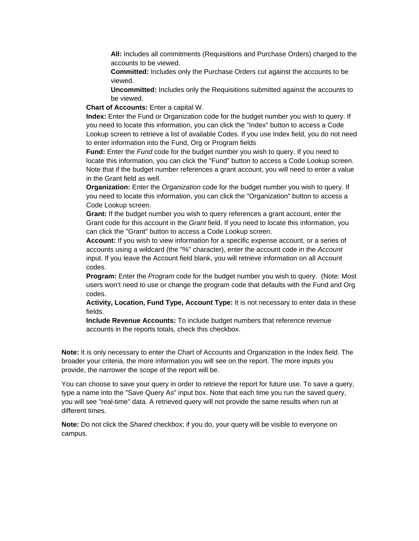**All:** Includes all commitments (Requisitions and Purchase Orders) charged to the accounts to be viewed.

**Committed:** Includes only the Purchase Orders cut against the accounts to be viewed.

**Uncommitted:** Includes only the Requisitions submitted against the accounts to be viewed.

**Chart of Accounts:** Enter a capital W.

**Index:** Enter the Fund or Organization code for the budget number you wish to query. If you need to locate this information, you can click the "Index" button to access a Code Lookup screen to retrieve a list of available Codes. If you use Index field, you do not need to enter information into the Fund, Org or Program fields

**Fund:** Enter the *Fund* code for the budget number you wish to query. If you need to locate this information, you can click the "Fund" button to access a Code Lookup screen. Note that if the budget number references a grant account, you will need to enter a value in the Grant field as well.

**Organization:** Enter the *Organization* code for the budget number you wish to query. If you need to locate this information, you can click the "Organization" button to access a Code Lookup screen.

**Grant:** If the budget number you wish to query references a grant account, enter the Grant code for this account in the *Grant* field. If you need to locate this information, you can click the "Grant" button to access a Code Lookup screen.

**Account:** If you wish to view information for a specific expense account, or a series of accounts using a wildcard (the "%" character), enter the account code in the *Account* input. If you leave the Account field blank, you will retrieve information on all Account codes.

**Program:** Enter the *Program* code for the budget number you wish to query. (Note: Most users won't need to use or change the program code that defaults with the Fund and Org codes.

**Activity, Location, Fund Type, Account Type:** It is not necessary to enter data in these fields.

**Include Revenue Accounts:** To include budget numbers that reference revenue accounts in the reports totals, check this checkbox.

**Note:** It is only necessary to enter the Chart of Accounts and Organization in the Index field. The broader your criteria, the more information you will see on the report. The more inputs you provide, the narrower the scope of the report will be.

You can choose to save your query in order to retrieve the report for future use. To save a query, type a name into the "Save Query As" input box. Note that each time you run the saved query, you will see "real-time" data. A retrieved query will not provide the same results when run at different times.

**Note:** Do not click the *Shared* checkbox; if you do, your query will be visible to everyone on campus.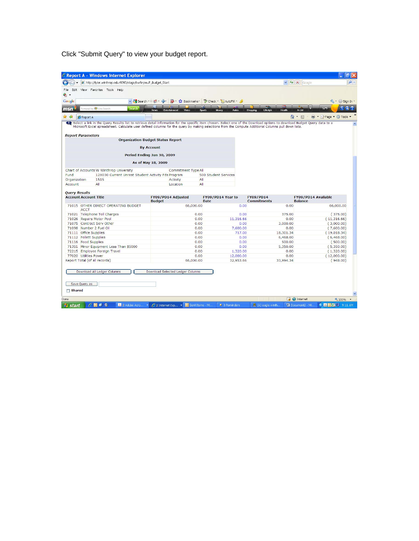Click "Submit Query" to view your budget report.

| http://tyler.winthrop.edu:9090/stage/bwfkrpvu.P_Budget_Start                                                                                                                                                                                                                                                                      | C Report A - Windows Internet Explorer   |                                  |                                        |                                      |                                                         |
|-----------------------------------------------------------------------------------------------------------------------------------------------------------------------------------------------------------------------------------------------------------------------------------------------------------------------------------|------------------------------------------|----------------------------------|----------------------------------------|--------------------------------------|---------------------------------------------------------|
|                                                                                                                                                                                                                                                                                                                                   |                                          |                                  |                                        | $\vee$ $\rightarrow$ $\times$ Google |                                                         |
| Edit View Favorites Tools Help                                                                                                                                                                                                                                                                                                    |                                          |                                  |                                        |                                      |                                                         |
| ٠.                                                                                                                                                                                                                                                                                                                                |                                          |                                  |                                        |                                      |                                                         |
| Google                                                                                                                                                                                                                                                                                                                            | v & Search * + 6 + Cor                   | Bookmarks * Check * E AutoFill * |                                        |                                      | $\leftarrow$ Sign In $\cdot$                            |
| wered by (FJ) Live Search<br><b>Search</b>                                                                                                                                                                                                                                                                                        |                                          |                                  |                                        |                                      | 52°F                                                    |
| msn                                                                                                                                                                                                                                                                                                                               | Video<br><b>News</b><br>Entertainment    | Autos<br><b>Sports</b><br>Money  | Shopping                               | A-List<br>Lifestyle<br>Health        |                                                         |
| $\mathbb{R}$ $\Phi$<br><b><i>C</i></b> Report A                                                                                                                                                                                                                                                                                   |                                          |                                  |                                        | $\wedge$ $\Box$                      | Maxima Tools ▼ 10 Tools ▼                               |
| Select a link in the Query Results list to retrieve detail information for the specific item chosen. Select one of the Download options to download Budget Query data to a<br>Microsoft Excel spreadsheet. Calculate user defined columns for the query by making selections from the Compute Additional Columns pull down lists. |                                          |                                  |                                        |                                      |                                                         |
|                                                                                                                                                                                                                                                                                                                                   |                                          |                                  |                                        |                                      |                                                         |
| <b>Report Parameters</b>                                                                                                                                                                                                                                                                                                          |                                          |                                  |                                        |                                      |                                                         |
|                                                                                                                                                                                                                                                                                                                                   | <b>Organization Budget Status Report</b> |                                  |                                        |                                      |                                                         |
|                                                                                                                                                                                                                                                                                                                                   | <b>By Account</b>                        |                                  |                                        |                                      |                                                         |
|                                                                                                                                                                                                                                                                                                                                   |                                          |                                  |                                        |                                      |                                                         |
|                                                                                                                                                                                                                                                                                                                                   | Period Ending Jun 30, 2009               |                                  |                                        |                                      |                                                         |
|                                                                                                                                                                                                                                                                                                                                   | As of May 18, 2009                       |                                  |                                        |                                      |                                                         |
|                                                                                                                                                                                                                                                                                                                                   |                                          |                                  |                                        |                                      |                                                         |
| Chart of Accounts W Winthrop University<br>Fund<br>12X030 Current Unrest Student Activity Fds Program                                                                                                                                                                                                                             | Commitment Type All                      | 500 Student Services             |                                        |                                      |                                                         |
| Organization<br>1515                                                                                                                                                                                                                                                                                                              | Activity                                 | All                              |                                        |                                      |                                                         |
| Account<br>All                                                                                                                                                                                                                                                                                                                    | Location                                 | All                              |                                        |                                      |                                                         |
|                                                                                                                                                                                                                                                                                                                                   |                                          |                                  |                                        |                                      |                                                         |
| <b>Query Results</b>                                                                                                                                                                                                                                                                                                              |                                          |                                  |                                        |                                      |                                                         |
| <b>Account Account Title</b>                                                                                                                                                                                                                                                                                                      | FY09/PD14 Adjusted<br><b>Budget</b>      | FY09/PD14 Year to<br><b>Date</b> | <b>FY09/PD14</b><br><b>Commitments</b> | <b>Balance</b>                       | FY09/PD14 Available                                     |
| 71015 OTHER DIRECT OPERATING BUDGET                                                                                                                                                                                                                                                                                               | 66,000.00                                |                                  | 0.00                                   | 0.00                                 | 66,000.00                                               |
| <b>ACCT</b>                                                                                                                                                                                                                                                                                                                       |                                          |                                  |                                        |                                      |                                                         |
| 71021 Telephone Toll Charges                                                                                                                                                                                                                                                                                                      |                                          | 0.00                             | 0.00                                   | 375.00                               | (375.00)                                                |
|                                                                                                                                                                                                                                                                                                                                   |                                          |                                  |                                        |                                      |                                                         |
|                                                                                                                                                                                                                                                                                                                                   |                                          | 0.00                             | 11,316,66                              | 0.00                                 |                                                         |
|                                                                                                                                                                                                                                                                                                                                   |                                          | 0.00                             | 0.00                                   | 3,000.00                             |                                                         |
|                                                                                                                                                                                                                                                                                                                                   |                                          | 0.00                             | 7,600.00                               | 0.00                                 |                                                         |
|                                                                                                                                                                                                                                                                                                                                   |                                          | 0.00                             | 717.00                                 | 18,301.34                            | (11, 316.66)<br>(3,000.00)<br>(7,600.00)<br>(19,018.34) |
|                                                                                                                                                                                                                                                                                                                                   |                                          | 0.00                             | 0.00                                   | 6,468.00                             |                                                         |
|                                                                                                                                                                                                                                                                                                                                   |                                          | 0.00                             | 0.00                                   | 500.00                               | (6,468.00)<br>(500.00)                                  |
|                                                                                                                                                                                                                                                                                                                                   |                                          | 0.00                             | 0.00                                   | 5,350.00                             | (5,350.00)                                              |
| 71026 Repairs Motor Pool<br>71075 Contract Serv Other<br>71098 Number 2 Fuel Oil<br>71111 Office Supplies<br>71112 Follett Supplies<br>71116 Food Supplies<br>71351 Minor Equipment Less Than \$5000<br>72215 Employee Foreign Travel                                                                                             |                                          | 0.00                             | 1,320.00                               | 0.00                                 | (1,320.00)                                              |
| 77020 Utilities Power<br>Report Total (of all records)                                                                                                                                                                                                                                                                            | 66,000.00                                | 0.00                             | 12,000.00<br>32,953.66                 | 0.00<br>33,994.34                    | (12,000.00)<br>(948.00)                                 |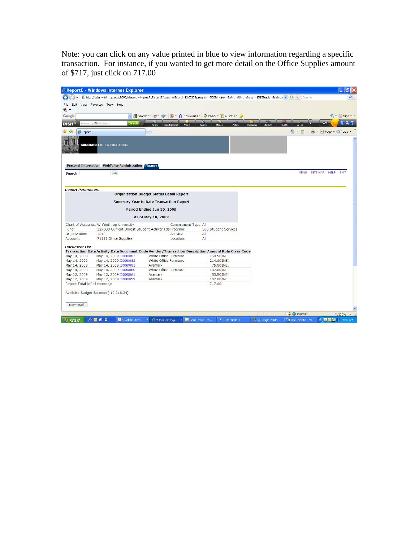Note: you can click on any value printed in blue to view information regarding a specific transaction. For instance, if you wanted to get more detail on the Office Supplies amount of \$717, just click on 717.00

|                                                      | C ReportE - Windows Internet Explorer               |                                                                                                                                 |                                                                                                                                                    |                                 |                    | 司                                                                                           |
|------------------------------------------------------|-----------------------------------------------------|---------------------------------------------------------------------------------------------------------------------------------|----------------------------------------------------------------------------------------------------------------------------------------------------|---------------------------------|--------------------|---------------------------------------------------------------------------------------------|
|                                                      |                                                     |                                                                                                                                 | 2 http://tyler.winthrop.edu:9090/stage/bwfkrpxu.P_ReportE?coas=W&fund=12X0308program=5008inclrev=8atyp=8dtyp=8orgn=15158actv=8refnun v ++ X Google |                                 |                    | $\rho$ .                                                                                    |
| File                                                 | Edit View Favorites Tools Help                      |                                                                                                                                 |                                                                                                                                                    |                                 |                    |                                                                                             |
| $\bullet$ .                                          |                                                     |                                                                                                                                 |                                                                                                                                                    |                                 |                    |                                                                                             |
| Google                                               |                                                     | v & Search * + 6 + Car                                                                                                          | 장 · ☆ Bookmarks · "> Check · 님 AutoFill · ♪                                                                                                        |                                 |                    | Sign In *                                                                                   |
|                                                      |                                                     |                                                                                                                                 | ø.                                                                                                                                                 |                                 |                    |                                                                                             |
| msn                                                  | wered by (F) Live Search<br>Search                  | Entertainment<br>Video<br><b>News</b>                                                                                           | <b>Sports</b><br>Money<br><b>Autos</b>                                                                                                             | Shopping<br>Lifestyle<br>Health | A-List             | $Q_{1}$<br>5247                                                                             |
| $\frac{1}{2}$ $\frac{1}{2}$<br><b>C</b> ReportE      |                                                     |                                                                                                                                 |                                                                                                                                                    |                                 | $\cap$ . $\Box$    | de → Faqe → O Tools →                                                                       |
|                                                      | <b>SUNGARD HIGHER EDUCATION</b>                     |                                                                                                                                 |                                                                                                                                                    |                                 |                    |                                                                                             |
| <b>Personal Information</b><br><b>Search</b>         | <b>WebTailor Administration Finance</b><br>Go       |                                                                                                                                 |                                                                                                                                                    |                                 |                    | MENU SITE MAP HELP EXIT                                                                     |
| <b>Report Parameters</b>                             |                                                     | <b>Organization Budget Status Detail Report</b><br><b>Summary Year to Date Transaction Report</b><br>Period Ending Jun 30, 2009 |                                                                                                                                                    |                                 |                    |                                                                                             |
|                                                      |                                                     | As of May 18, 2009                                                                                                              |                                                                                                                                                    |                                 |                    |                                                                                             |
|                                                      | Chart of Accounts: W Winthrop University            | Commitment Type: All                                                                                                            |                                                                                                                                                    |                                 |                    |                                                                                             |
| Fund:                                                | 12X030 Current Unrest Student Activity Fds Program: |                                                                                                                                 | 500 Student Services                                                                                                                               |                                 |                    |                                                                                             |
| Organization:                                        | 1515                                                | Activity:                                                                                                                       | All                                                                                                                                                |                                 |                    |                                                                                             |
| Account:                                             | 71111 Office Supplies                               | Location:                                                                                                                       | All                                                                                                                                                |                                 |                    |                                                                                             |
| <b>Document List</b><br>May 14, 2009<br>May 14, 2009 | May 14, 2009 I0000083<br>May 14, 2009 I0000082      | White Office Furniture<br>White Office Furniture                                                                                | Transaction Date Activity Date Document Code Vendor/Transaction Description Amount Rule Class Code<br>160.50 INEI<br>214.00 INEI                   |                                 |                    |                                                                                             |
| May 14, 2009                                         | May 14, 2009 I0000081                               | Aramark                                                                                                                         | 75.00 INEI                                                                                                                                         |                                 |                    |                                                                                             |
| May 14, 2009                                         | May 14, 2009 I0000080                               | White Office Furniture                                                                                                          | 107.00 INEI                                                                                                                                        |                                 |                    |                                                                                             |
| May 12, 2009                                         | May 12, 2009 I0000061                               | Aramark                                                                                                                         | 53.50 INEI                                                                                                                                         |                                 |                    |                                                                                             |
| May 12, 2009                                         | May 12, 2009 I0000059                               | Aramark                                                                                                                         | 107.00 INEI                                                                                                                                        |                                 |                    |                                                                                             |
| Report Total (of all records):                       |                                                     |                                                                                                                                 | 717.00                                                                                                                                             |                                 |                    |                                                                                             |
| Download                                             | Available Budget Balance: (19,018.34)               |                                                                                                                                 |                                                                                                                                                    |                                 |                    |                                                                                             |
|                                                      |                                                     |                                                                                                                                 |                                                                                                                                                    |                                 |                    |                                                                                             |
|                                                      |                                                     |                                                                                                                                 |                                                                                                                                                    |                                 | $\Box$ el Internet | € 100%                                                                                      |
| <b><i><b>S</b></i></b> start                         | $C$ is a<br>2 2 Adobe Acro                          | 2 Internet Exp • <b>O</b> Sent Items - Mi                                                                                       | 4 3 Reminders                                                                                                                                      | 具(A) eagle.winth                | Document2 - Mi     | $\left( 3 \right)$ $\bullet$ $\left[ 0 \right]$ $\left[ 0 \right]$ $\left[ 9.13 \right]$ AM |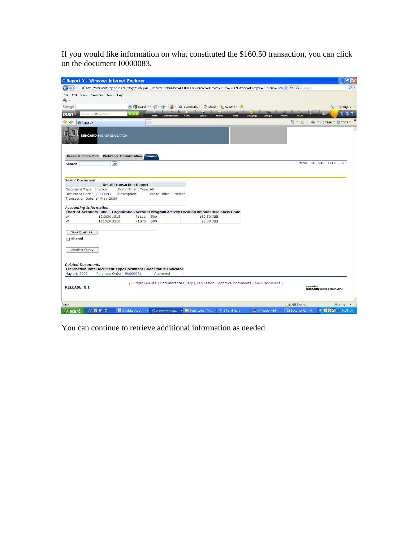If you would like information on what constituted the \$160.50 transaction, you can click on the document I0000083.

| C Report X - Windows Internet Explorer                   |                                                                                                                                                            |                                  |                                                       |       |                                                                                          |                       |          |                    |                    |                                                | ā                            |
|----------------------------------------------------------|------------------------------------------------------------------------------------------------------------------------------------------------------------|----------------------------------|-------------------------------------------------------|-------|------------------------------------------------------------------------------------------|-----------------------|----------|--------------------|--------------------|------------------------------------------------|------------------------------|
|                                                          | http://tyler.winthrop.edu:9090/stage/bwfkrpxu.P_ReportX?refnumber=I00000838skiprows=08tdate=14-May-20098/tode=038xttype=38subno=08tr( v   + +   X   Google |                                  |                                                       |       |                                                                                          |                       |          |                    |                    |                                                | $\rho$ .                     |
| File<br>● -                                              | Edit View Favorites Tools Help                                                                                                                             |                                  |                                                       |       |                                                                                          |                       |          |                    |                    |                                                |                              |
| Google                                                   |                                                                                                                                                            |                                  |                                                       |       | ▼ Search · · ● · ● · 图 · ☆ Bookmarks · <sup>*</sup> Check · 日 AutoFill · <u>◆</u>        |                       |          |                    |                    |                                                | $\leftarrow$ Sign In $\cdot$ |
| msn.                                                     | Powered by <b>(3)</b> Live Search                                                                                                                          | <b>Search</b>                    | <b>News</b><br>Entertainn                             | Video | $\bullet$<br><b>Sports</b>                                                               | Money<br><b>Autos</b> | Shopping | Lifestyle          | A-List<br>Health   | 5245                                           | 0.7                          |
| <b>C</b> Report X                                        |                                                                                                                                                            |                                  |                                                       |       |                                                                                          |                       |          |                    | $\cap$ $\Box$      | de → Faqe → O Tools →                          |                              |
|                                                          | <b>SUNGARD HIGHER EDUCATION</b>                                                                                                                            |                                  |                                                       |       |                                                                                          |                       |          |                    |                    |                                                |                              |
| <b>Search</b>                                            | Personal Information WebTailor Administration Finance<br>Go                                                                                                |                                  |                                                       |       |                                                                                          |                       |          |                    |                    | MENU SITE MAP HELP EXIT                        |                              |
| <b>Select Document</b>                                   |                                                                                                                                                            |                                  |                                                       |       |                                                                                          |                       |          |                    |                    |                                                |                              |
|                                                          |                                                                                                                                                            | <b>Detail Transaction Report</b> |                                                       |       |                                                                                          |                       |          |                    |                    |                                                |                              |
| Document Type: Invoice                                   |                                                                                                                                                            | Commitment Type: All             |                                                       |       |                                                                                          |                       |          |                    |                    |                                                |                              |
| Document Code: I0000083<br>Transaction Date: 14-May-2009 |                                                                                                                                                            | Description:                     | White Office Furniture                                |       |                                                                                          |                       |          |                    |                    |                                                |                              |
|                                                          |                                                                                                                                                            |                                  |                                                       |       |                                                                                          |                       |          |                    |                    |                                                |                              |
| <b>Accounting Information</b>                            | Chart of Accounts Fund Organization Account Program Activity Location Amount Rule Class Code                                                               |                                  |                                                       |       |                                                                                          |                       |          |                    |                    |                                                |                              |
| W                                                        | 12X030 1515                                                                                                                                                | 71111                            | 500                                                   |       | 160.50 INEI                                                                              |                       |          |                    |                    |                                                |                              |
| W                                                        | 1110203210                                                                                                                                                 | 71075 500                        |                                                       |       | 25.00 INEI                                                                               |                       |          |                    |                    |                                                |                              |
| Save Query as                                            |                                                                                                                                                            |                                  |                                                       |       |                                                                                          |                       |          |                    |                    |                                                |                              |
| <b>□</b> Shared                                          |                                                                                                                                                            |                                  |                                                       |       |                                                                                          |                       |          |                    |                    |                                                |                              |
| Another Query                                            |                                                                                                                                                            |                                  |                                                       |       |                                                                                          |                       |          |                    |                    |                                                |                              |
|                                                          |                                                                                                                                                            |                                  |                                                       |       |                                                                                          |                       |          |                    |                    |                                                |                              |
| <b>Related Documents</b>                                 |                                                                                                                                                            |                                  |                                                       |       |                                                                                          |                       |          |                    |                    |                                                |                              |
| May 14, 2009                                             | <b>Transaction Date Document Type Document Code Status Indicator</b><br>Purchase Order P0000071                                                            |                                  | Approved                                              |       |                                                                                          |                       |          |                    |                    |                                                |                              |
|                                                          |                                                                                                                                                            |                                  |                                                       |       |                                                                                          |                       |          |                    |                    |                                                |                              |
| <b>RELEASE: 8.1</b>                                      |                                                                                                                                                            |                                  |                                                       |       | [ Budget Queries   Encumbrance Query   Requisition   Approve Documents   View Document ] |                       |          |                    |                    | powered by<br><b>SUNGARD' HIGHER EDUCATION</b> |                              |
| Done                                                     |                                                                                                                                                            |                                  |                                                       |       |                                                                                          |                       |          |                    | $\Box$ el Internet |                                                | 电 100% →                     |
| <b>As etart</b>                                          | $C$ <b>D</b> $B$ <b>C</b>                                                                                                                                  | 2 2 Adnhe Arrn                   | $\sqrt{2}$ 2 Internet Fxn $\sqrt{0}$ Sent Items - Mi. |       |                                                                                          | $\bullet$ 3 Reminders |          | EL (A) eagle winth | Document2 - Mi     |                                                | <b>C 3 0 VA = 9:15 AM</b>    |

You can continue to retrieve additional information as needed.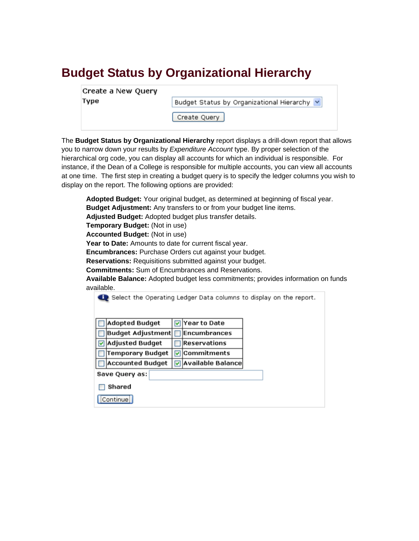#### **Budget Status by Organizational Hierarchy**

| Create a New Query |  |
|--------------------|--|
| Type               |  |

Budget Status by Organizational Hierarchy v

Create Query

The **Budget Status by Organizational Hierarchy** report displays a drill-down report that allows you to narrow down your results by *Expenditure Account* type. By proper selection of the hierarchical org code, you can display all accounts for which an individual is responsible. For instance, if the Dean of a College is responsible for multiple accounts, you can view all accounts at one time. The first step in creating a budget query is to specify the ledger columns you wish to display on the report. The following options are provided:

**Adopted Budget:** Your original budget, as determined at beginning of fiscal year. **Budget Adjustment:** Any transfers to or from your budget line items. **Adjusted Budget:** Adopted budget plus transfer details. **Temporary Budget:** (Not in use) **Accounted Budget:** (Not in use) **Year to Date:** Amounts to date for current fiscal year. **Encumbrances:** Purchase Orders cut against your budget. **Reservations:** Requisitions submitted against your budget. **Commitments:** Sum of Encumbrances and Reservations. **Available Balance:** Adopted budget less commitments; provides information on funds available.<br>Also Salast the Operating Ladger Data solumns to display on the report

| select the Operating Ledger Data columns to display on the report. |   |                     |  |
|--------------------------------------------------------------------|---|---------------------|--|
|                                                                    |   |                     |  |
| <b>Adopted Budget</b>                                              |   | Year to Date        |  |
| <b>Budget Adjustment</b>                                           |   | Encumbrances        |  |
| <b>Adjusted Budget</b>                                             |   | <b>Reservations</b> |  |
| Temporary Budget                                                   | ⊽ | Commitments         |  |
| <b>Accounted Budget</b>                                            |   | ⊽ Available Balance |  |
| Save Query as:                                                     |   |                     |  |
| Shared                                                             |   |                     |  |
| Continue                                                           |   |                     |  |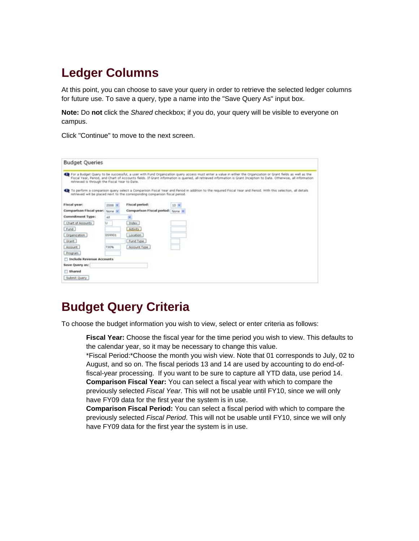#### **Ledger Columns**

At this point, you can choose to save your query in order to retrieve the selected ledger columns for future use. To save a query, type a name into the "Save Query As" input box.

**Note:** Do **not** click the *Shared* checkbox; if you do, your query will be visible to everyone on campus.

Click "Continue" to move to the next screen.

| <b>Budget Queries</b>                         |                              |                                                                              |                                                                                                                                                                                                                                                                                                                                      |
|-----------------------------------------------|------------------------------|------------------------------------------------------------------------------|--------------------------------------------------------------------------------------------------------------------------------------------------------------------------------------------------------------------------------------------------------------------------------------------------------------------------------------|
| retrieved is through the Fiscal Year to Date. |                              |                                                                              | For a Budget Query to be successful, a user with Fund Organization query access must enter a value in either the Organization or Grant fields as well as the<br>Fiscal Year, Period, and Chart of Accounts fields. If Grant information is queried, all retrieved information is Grant Inception to Date. Otherwise, all information |
|                                               |                              | ratriaved will be placed next to the corresponding comparison fiscal period. | To perform a comparison query select a Comparison Fiscal Year and Period in addition to the required Fiscal Year and Period. With this selection, all details                                                                                                                                                                        |
| Fiscal year:                                  | $2008$ $\blacktriangleright$ | Fiscal period:                                                               | 10 米                                                                                                                                                                                                                                                                                                                                 |
| <b>Comparison Fiscal year:</b>                | None 34                      | Comparison Fiscal period: None                                               |                                                                                                                                                                                                                                                                                                                                      |
| Commitment Type:                              | AR                           |                                                                              |                                                                                                                                                                                                                                                                                                                                      |
| Chart of Accounts                             | u.                           | Index:                                                                       |                                                                                                                                                                                                                                                                                                                                      |
| -Fund                                         |                              | <b>Activity</b>                                                              |                                                                                                                                                                                                                                                                                                                                      |
| Organization                                  | 059901                       | Location                                                                     |                                                                                                                                                                                                                                                                                                                                      |
| Grant -                                       |                              | Fund Type                                                                    |                                                                                                                                                                                                                                                                                                                                      |
| Account                                       | 730%                         | Account Type                                                                 |                                                                                                                                                                                                                                                                                                                                      |
| Program                                       |                              |                                                                              |                                                                                                                                                                                                                                                                                                                                      |
| <b>TT Include Revenue Accounts</b>            |                              |                                                                              |                                                                                                                                                                                                                                                                                                                                      |
| <b>Bave Query as:</b>                         |                              |                                                                              |                                                                                                                                                                                                                                                                                                                                      |
| Shared                                        |                              |                                                                              |                                                                                                                                                                                                                                                                                                                                      |
| Submit Quary                                  |                              |                                                                              |                                                                                                                                                                                                                                                                                                                                      |

#### **Budget Query Criteria**

To choose the budget information you wish to view, select or enter criteria as follows:

**Fiscal Year:** Choose the fiscal year for the time period you wish to view. This defaults to the calendar year, so it may be necessary to change this value.

 \*Fiscal Period:\*Choose the month you wish view. Note that 01 corresponds to July, 02 to August, and so on. The fiscal periods 13 and 14 are used by accounting to do end-offiscal-year processing. If you want to be sure to capture all YTD data, use period 14. **Comparison Fiscal Year:** You can select a fiscal year with which to compare the previously selected *Fiscal Year*. This will not be usable until FY10, since we will only have FY09 data for the first year the system is in use.

**Comparison Fiscal Period:** You can select a fiscal period with which to compare the previously selected *Fiscal Period*. This will not be usable until FY10, since we will only have FY09 data for the first year the system is in use.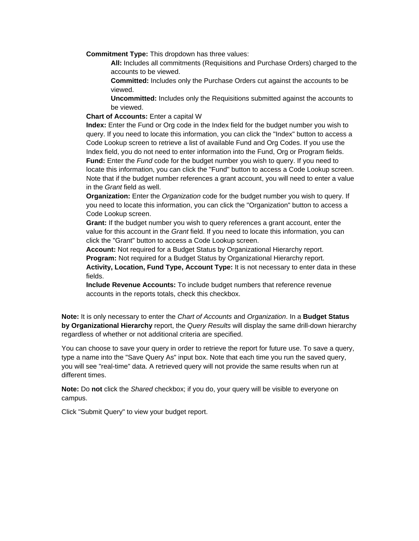**Commitment Type:** This dropdown has three values:

**All:** Includes all commitments (Requisitions and Purchase Orders) charged to the accounts to be viewed.

**Committed:** Includes only the Purchase Orders cut against the accounts to be viewed.

**Uncommitted:** Includes only the Requisitions submitted against the accounts to be viewed.

**Chart of Accounts:** Enter a capital W

**Index:** Enter the Fund or Org code in the Index field for the budget number you wish to query. If you need to locate this information, you can click the "Index" button to access a Code Lookup screen to retrieve a list of available Fund and Org Codes. If you use the Index field, you do not need to enter information into the Fund, Org or Program fields. **Fund:** Enter the *Fund* code for the budget number you wish to query. If you need to locate this information, you can click the "Fund" button to access a Code Lookup screen. Note that if the budget number references a grant account, you will need to enter a value in the *Grant* field as well.

**Organization:** Enter the *Organization* code for the budget number you wish to query. If you need to locate this information, you can click the "Organization" button to access a Code Lookup screen.

**Grant:** If the budget number you wish to query references a grant account, enter the value for this account in the *Grant* field. If you need to locate this information, you can click the "Grant" button to access a Code Lookup screen.

**Account:** Not required for a Budget Status by Organizational Hierarchy report. **Program:** Not required for a Budget Status by Organizational Hierarchy report.

**Activity, Location, Fund Type, Account Type:** It is not necessary to enter data in these fields.

**Include Revenue Accounts:** To include budget numbers that reference revenue accounts in the reports totals, check this checkbox.

**Note:** It is only necessary to enter the *Chart of Accounts* and *Organization*. In a **Budget Status by Organizational Hierarchy** report, the *Query Results* will display the same drill-down hierarchy regardless of whether or not additional criteria are specified.

You can choose to save your query in order to retrieve the report for future use. To save a query, type a name into the "Save Query As" input box. Note that each time you run the saved query, you will see "real-time" data. A retrieved query will not provide the same results when run at different times.

**Note:** Do **not** click the *Shared* checkbox; if you do, your query will be visible to everyone on campus.

Click "Submit Query" to view your budget report.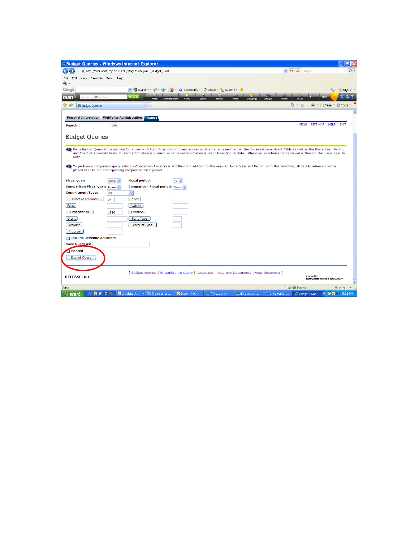| C Budget Queries - Windows Internet Explorer                                                                                                                                                                                                           |                                           | 同                                    |
|--------------------------------------------------------------------------------------------------------------------------------------------------------------------------------------------------------------------------------------------------------|-------------------------------------------|--------------------------------------|
| http://tyler.winthrop.edu:9090/stage/bwfkrpvu.P_Budget_Start                                                                                                                                                                                           | $\vee$ 4 $\times$ Google                  | $\rho$ .                             |
| Edit View Favorites Tools Help<br>File                                                                                                                                                                                                                 |                                           |                                      |
| ۰.                                                                                                                                                                                                                                                     |                                           |                                      |
| Si + 2 Bookmarks * F AutoFill + 3<br>v & Search * + @ + Ca+<br>Google                                                                                                                                                                                  |                                           | $\leftarrow$ Sign In $\cdot$         |
| Powered by (Fig. Live Search<br><b>Search</b><br>msn<br>Video<br><b>Sports</b><br>Money<br>Autos<br>Shopping<br>Lifestyle<br><b>News</b><br>Entertain                                                                                                  | Health<br>A-List                          |                                      |
| 48<br>মী<br>Budget Queries                                                                                                                                                                                                                             | $\wedge$ 0                                | <b>⊯ ▼ ☆ Page ▼ ◎ Tools ▼</b>        |
| <b>Personal Information WebTailor Administration Finance</b>                                                                                                                                                                                           |                                           |                                      |
| Gol                                                                                                                                                                                                                                                    | <b>MENU</b><br>SITE MAP                   | <b>HELP</b><br><b>EXIT</b>           |
| <b>Search</b>                                                                                                                                                                                                                                          |                                           |                                      |
| <b>Budget Queries</b>                                                                                                                                                                                                                                  |                                           |                                      |
|                                                                                                                                                                                                                                                        |                                           |                                      |
| For a Budget Query to be successful, a user with Fund Organization query access must enter a value in either the Organization or Grant fields as well as the Fiscal Year, Period,                                                                      |                                           |                                      |
| and Chart of Accounts fields. If Grant information is queried, all retrieved information is Grant Inception to Date. Otherwise, all information retrieved is through the Fiscal Year to<br>Date.                                                       |                                           |                                      |
|                                                                                                                                                                                                                                                        |                                           |                                      |
| <b>C</b> To perform a comparison query select a Comparison Fiscal Year and Period in addition to the required Fiscal Year and Period. With this selection, all details retrieved will be<br>placed next to the corresponding comparison fiscal period. |                                           |                                      |
|                                                                                                                                                                                                                                                        |                                           |                                      |
| <b>Fiscal period:</b><br><b>Fiscal year:</b><br>$2009 \vee$<br>$14 \times$                                                                                                                                                                             |                                           |                                      |
| <b>Comparison Fiscal year:</b> None v<br><b>Comparison Fiscal period:</b> None v<br><b>Commitment Type:</b><br>All<br>$\checkmark$                                                                                                                     |                                           |                                      |
| Chart of Accounts<br>Index<br>W                                                                                                                                                                                                                        |                                           |                                      |
| Fund<br>Activity                                                                                                                                                                                                                                       |                                           |                                      |
| Organization<br>Location<br>1510                                                                                                                                                                                                                       |                                           |                                      |
| Grant<br>Fund Type                                                                                                                                                                                                                                     |                                           |                                      |
| Account<br><b>Account Type</b>                                                                                                                                                                                                                         |                                           |                                      |
| Program                                                                                                                                                                                                                                                |                                           |                                      |
| <b>□ Include Revenue Accounts</b>                                                                                                                                                                                                                      |                                           |                                      |
| <b>Save Query as:</b>                                                                                                                                                                                                                                  |                                           |                                      |
| <b>Shared</b>                                                                                                                                                                                                                                          |                                           |                                      |
| Submit Query                                                                                                                                                                                                                                           |                                           |                                      |
|                                                                                                                                                                                                                                                        |                                           |                                      |
| [ Budget Queries   Encumbrance Query   Requisition   Approve Documents   View Document                                                                                                                                                                 |                                           |                                      |
| <b>RELEASE: 8.1</b>                                                                                                                                                                                                                                    | powered by                                | <b>SUNGARD' HIGHER EDUCATION</b>     |
|                                                                                                                                                                                                                                                        |                                           |                                      |
| Done<br><b>○ ◎ ◎ ◎ ◎ ■</b> ▲ 2 Adobe A ▼<br>C Winthrop Un<br>雪 Training for<br>具(A) eagle.wi<br>圖 (B) eagle.wi<br>$\bullet$ Inbox - Micr<br><b><i><b>L</b></i></b> start                                                                               | $\Box$ $\Theta$ Internet<br>C Budget Ouer | 电 100% →<br><b>K VE O EJ</b> 5:35 PM |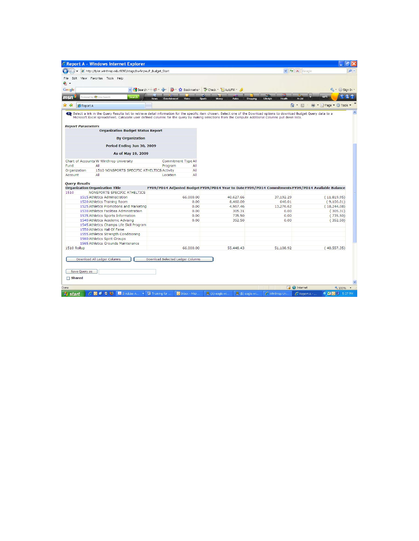|                                |                                                                                                                                                                            |                                                        |                                                                                                    |                                      | 同                        |
|--------------------------------|----------------------------------------------------------------------------------------------------------------------------------------------------------------------------|--------------------------------------------------------|----------------------------------------------------------------------------------------------------|--------------------------------------|--------------------------|
|                                | http://tyler.winthrop.edu:9090/stage/bwfkrpvu.P_Budget_Start                                                                                                               |                                                        |                                                                                                    | $\vee$ $\rightarrow$ $\times$ Google |                          |
|                                | File Edit View Favorites Tools Help                                                                                                                                        |                                                        |                                                                                                    |                                      |                          |
| ⊕ -                            |                                                                                                                                                                            |                                                        |                                                                                                    |                                      |                          |
| Google                         | v M Search + + 60 + Car                                                                                                                                                    |                                                        | 8 - 1 Bookmarks * Check - HautoFill - 4                                                            |                                      | $\leftarrow$ Sign In -   |
|                                |                                                                                                                                                                            |                                                        |                                                                                                    |                                      |                          |
| msn                            | wered by (3) Live Search<br><b>Search</b>                                                                                                                                  | Video<br><b>News</b><br>Entertainment<br><b>Sports</b> | Money<br><b>Autos</b><br>Shopping                                                                  | A-List<br>Lifestyle<br>Health        | QQ<br>68FF               |
| $58 - 58$<br><b>C</b> Report A |                                                                                                                                                                            |                                                        |                                                                                                    | $\wedge$ - $\Box$                    | Mage ▼ Tools ▼           |
|                                | Select a link in the Query Results list to retrieve detail information for the specific item chosen. Select one of the Download options to download Budget Query data to a |                                                        |                                                                                                    |                                      |                          |
|                                | Microsoft Excel spreadsheet. Calculate user defined columns for the query by making selections from the Compute Additional Columns pull down lists.                        |                                                        |                                                                                                    |                                      |                          |
| <b>Report Parameters</b>       |                                                                                                                                                                            |                                                        |                                                                                                    |                                      |                          |
|                                | <b>Organization Budget Status Report</b>                                                                                                                                   |                                                        |                                                                                                    |                                      |                          |
|                                | <b>By Organization</b>                                                                                                                                                     |                                                        |                                                                                                    |                                      |                          |
|                                |                                                                                                                                                                            |                                                        |                                                                                                    |                                      |                          |
|                                | Period Ending Jun 30, 2009                                                                                                                                                 |                                                        |                                                                                                    |                                      |                          |
|                                | As of May 19, 2009                                                                                                                                                         |                                                        |                                                                                                    |                                      |                          |
|                                | Chart of Accounts W Winthrop University                                                                                                                                    | Commitment Type All                                    |                                                                                                    |                                      |                          |
| Fund                           | All                                                                                                                                                                        | Program<br>All                                         |                                                                                                    |                                      |                          |
| Organization                   | 1510 NONSPORTS SPECIFIC ATHELTICS Activity                                                                                                                                 | All                                                    |                                                                                                    |                                      |                          |
| Account                        | All                                                                                                                                                                        | All<br>Location                                        |                                                                                                    |                                      |                          |
| <b>Ouery Results</b><br>1510   | <b>Organization Organization Title</b><br>NONSPORTS SPECIFIC ATHELTICS                                                                                                     |                                                        | FY09/PD14 Adjusted Budget FY09/PD14 Year to Date FY09/PD14 Commitments FY09/PD14 Available Balance |                                      |                          |
|                                | 1515 Athletics Administration                                                                                                                                              | 66,000.00                                              | 40,627.66                                                                                          | 37,192.29                            | (11,819.95)              |
|                                | 1520 Athletics Training Room                                                                                                                                               | 0.00                                                   | 8,460.00                                                                                           |                                      |                          |
|                                |                                                                                                                                                                            |                                                        |                                                                                                    | 640.01                               |                          |
|                                | 1525 Athletics Promotions and Marketing                                                                                                                                    | 0.00                                                   | 4,967.46                                                                                           | 13,276.62                            |                          |
|                                | 1530 Athletics Facilities Administration                                                                                                                                   | 0.00                                                   | 305.31                                                                                             | 0.00                                 |                          |
|                                | 1535 Athletics Sports Information                                                                                                                                          | 0.00                                                   | 735.50                                                                                             | 0.00                                 | (735.50)                 |
|                                | 1540 Athletics Academic Advising                                                                                                                                           | 0.00                                                   | 352.50                                                                                             | 0.00                                 | (352.50)                 |
|                                | 1545 Athletics Champs Life Skill Program                                                                                                                                   |                                                        |                                                                                                    |                                      |                          |
|                                | 1550 Athletics Hall Of Fame                                                                                                                                                |                                                        |                                                                                                    |                                      | (18, 244.08)<br>(305.31) |
|                                | 1555 Athletics Strength Conditioning                                                                                                                                       |                                                        |                                                                                                    |                                      |                          |
|                                | 1560 Athletics Spirit Groups                                                                                                                                               |                                                        |                                                                                                    |                                      | (9,100.01)               |
| 1510 Rollup                    | 1565 Athletics Grounds Maintenance                                                                                                                                         | 66,000.00                                              | 55,448.43                                                                                          | 51.108.92                            | (40, 557.35)             |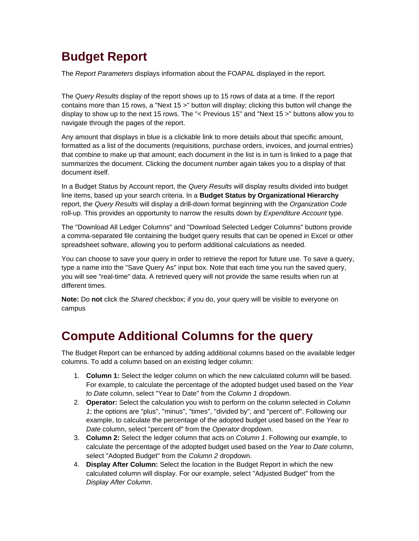## **Budget Report**

The *Report Parameters* displays information about the FOAPAL displayed in the report.

The *Query Results* display of the report shows up to 15 rows of data at a time. If the report contains more than 15 rows, a "Next 15 >" button will display; clicking this button will change the display to show up to the next 15 rows. The "< Previous 15" and "Next 15 >" buttons allow you to navigate through the pages of the report.

Any amount that displays in blue is a clickable link to more details about that specific amount, formatted as a list of the documents (requisitions, purchase orders, invoices, and journal entries) that combine to make up that amount; each document in the list is in turn is linked to a page that summarizes the document. Clicking the document number again takes you to a display of that document itself.

In a Budget Status by Account report, the *Query Results* will display results divided into budget line items, based up your search criteria. In a **Budget Status by Organizational Hierarchy** report, the *Query Results* will display a drill-down format beginning with the *Organization Code* roll-up. This provides an opportunity to narrow the results down by *Expenditure Account* type.

The "Download All Ledger Columns" and "Download Selected Ledger Columns" buttons provide a comma-separated file containing the budget query results that can be opened in Excel or other spreadsheet software, allowing you to perform additional calculations as needed.

You can choose to save your query in order to retrieve the report for future use. To save a query, type a name into the "Save Query As" input box. Note that each time you run the saved query, you will see "real-time" data. A retrieved query will not provide the same results when run at different times.

**Note:** Do **not** click the *Shared* checkbox; if you do, your query will be visible to everyone on campus

## **Compute Additional Columns for the query**

The Budget Report can be enhanced by adding additional columns based on the available ledger columns. To add a column based on an existing ledger column:

- 1. **Column 1:** Select the ledger column on which the new calculated column will be based. For example, to calculate the percentage of the adopted budget used based on the *Year to Date* column, select "Year to Date" from the *Column 1* dropdown.
- 2. **Operator:** Select the calculation you wish to perform on the column selected in *Column 1*; the options are "plus", "minus", "times", "divided by", and "percent of". Following our example, to calculate the percentage of the adopted budget used based on the *Year to Date* column, select "percent of" from the *Operator* dropdown.
- 3. **Column 2:** Select the ledger column that acts on *Column 1*. Following our example, to calculate the percentage of the adopted budget used based on the *Year to Date* column, select "Adopted Budget" from the *Column 2* dropdown.
- 4. **Display After Column:** Select the location in the Budget Report in which the new calculated column will display. For our example, select "Adjusted Budget" from the *Display After Column*.